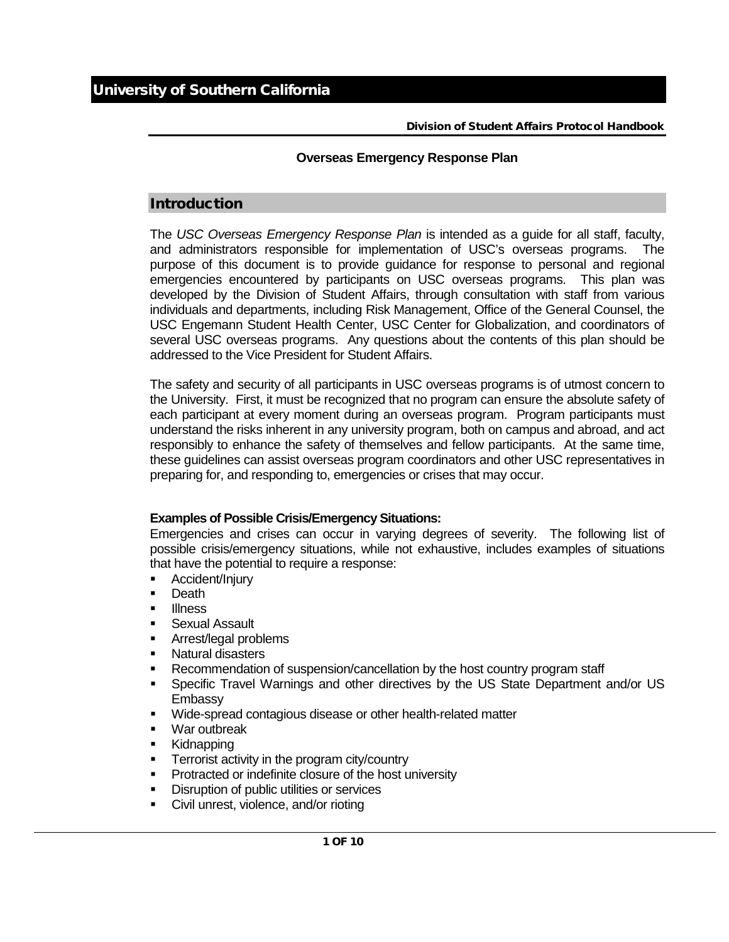# Division of Student Affairs Protocol Handbook

# **Overseas Emergency Response Plan**

# Introduction

The *USC Overseas Emergency Response Plan* is intended as a guide for all staff, faculty, and administrators responsible for implementation of USC's overseas programs. The purpose of this document is to provide guidance for response to personal and regional emergencies encountered by participants on USC overseas programs. This plan was developed by the Division of Student Affairs, through consultation with staff from various individuals and departments, including Risk Management, Office of the General Counsel, the USC Engemann Student Health Center, USC Center for Globalization, and coordinators of several USC overseas programs. Any questions about the contents of this plan should be addressed to the Vice President for Student Affairs.

The safety and security of all participants in USC overseas programs is of utmost concern to the University. First, it must be recognized that no program can ensure the absolute safety of each participant at every moment during an overseas program. Program participants must understand the risks inherent in any university program, both on campus and abroad, and act responsibly to enhance the safety of themselves and fellow participants. At the same time, these guidelines can assist overseas program coordinators and other USC representatives in preparing for, and responding to, emergencies or crises that may occur.

# **Examples of Possible Crisis/Emergency Situations:**

Emergencies and crises can occur in varying degrees of severity. The following list of possible crisis/emergency situations, while not exhaustive, includes examples of situations that have the potential to require a response:

- **-** Accident/Injury
- **Death**
- **Illness**
- **Sexual Assault**
- **Arrest/legal problems**
- **Natural disasters**
- Recommendation of suspension/cancellation by the host country program staff
- Specific Travel Warnings and other directives by the US State Department and/or US Embassy
- **Wide-spread contagious disease or other health-related matter**
- War outbreak
- **Kidnapping**
- **Terrorist activity in the program city/country**
- **Protracted or indefinite closure of the host university**
- **•** Disruption of public utilities or services
- **Civil unrest, violence, and/or rioting**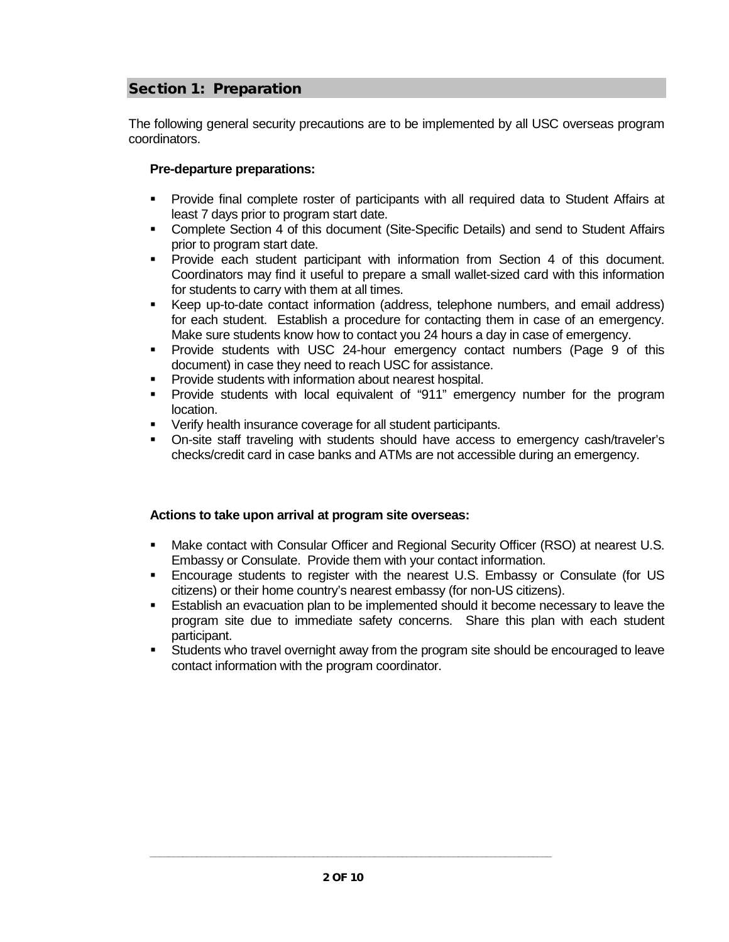# Section 1: Preparation

The following general security precautions are to be implemented by all USC overseas program coordinators.

# **Pre-departure preparations:**

- Provide final complete roster of participants with all required data to Student Affairs at least 7 days prior to program start date.
- Complete Section 4 of this document (Site-Specific Details) and send to Student Affairs prior to program start date.
- Provide each student participant with information from Section 4 of this document. Coordinators may find it useful to prepare a small wallet-sized card with this information for students to carry with them at all times.
- Keep up-to-date contact information (address, telephone numbers, and email address) for each student. Establish a procedure for contacting them in case of an emergency. Make sure students know how to contact you 24 hours a day in case of emergency.
- Provide students with USC 24-hour emergency contact numbers (Page 9 of this document) in case they need to reach USC for assistance.
- **Provide students with information about nearest hospital.**
- Provide students with local equivalent of "911" emergency number for the program location.
- Verify health insurance coverage for all student participants.
- On-site staff traveling with students should have access to emergency cash/traveler's checks/credit card in case banks and ATMs are not accessible during an emergency.

# **Actions to take upon arrival at program site overseas:**

- Make contact with Consular Officer and Regional Security Officer (RSO) at nearest U.S. Embassy or Consulate. Provide them with your contact information.
- Encourage students to register with the nearest U.S. Embassy or Consulate (for US citizens) or their home country's nearest embassy (for non-US citizens).
- Establish an evacuation plan to be implemented should it become necessary to leave the program site due to immediate safety concerns. Share this plan with each student participant.
- Students who travel overnight away from the program site should be encouraged to leave contact information with the program coordinator.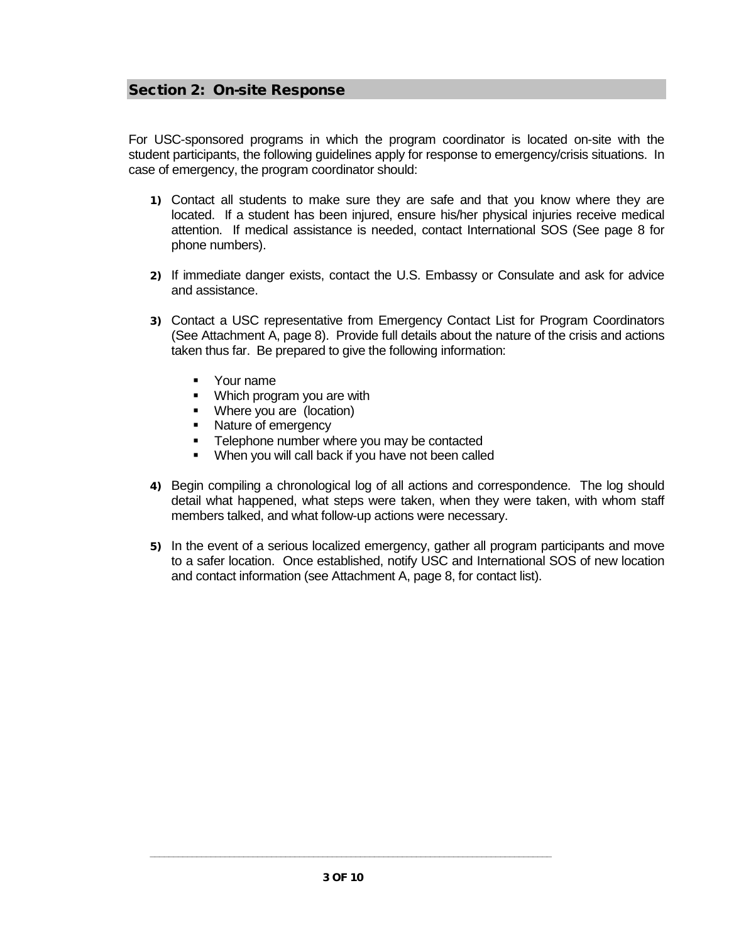# Section 2: On-site Response

For USC-sponsored programs in which the program coordinator is located on-site with the student participants, the following guidelines apply for response to emergency/crisis situations. In case of emergency, the program coordinator should:

- 1) Contact all students to make sure they are safe and that you know where they are located. If a student has been injured, ensure his/her physical injuries receive medical attention. If medical assistance is needed, contact International SOS (See page 8 for phone numbers).
- 2) If immediate danger exists, contact the U.S. Embassy or Consulate and ask for advice and assistance.
- 3) Contact a USC representative from Emergency Contact List for Program Coordinators (See Attachment A, page 8). Provide full details about the nature of the crisis and actions taken thus far. Be prepared to give the following information:
	- Your name
	- Which program you are with<br>Where you are (location)
	- Where you are (location)
	- Nature of emergency
	- **EXEC** Telephone number where you may be contacted
	- When you will call back if you have not been called
- 4) Begin compiling a chronological log of all actions and correspondence. The log should detail what happened, what steps were taken, when they were taken, with whom staff members talked, and what follow-up actions were necessary.
- 5) In the event of a serious localized emergency, gather all program participants and move to a safer location. Once established, notify USC and International SOS of new location and contact information (see Attachment A, page 8, for contact list).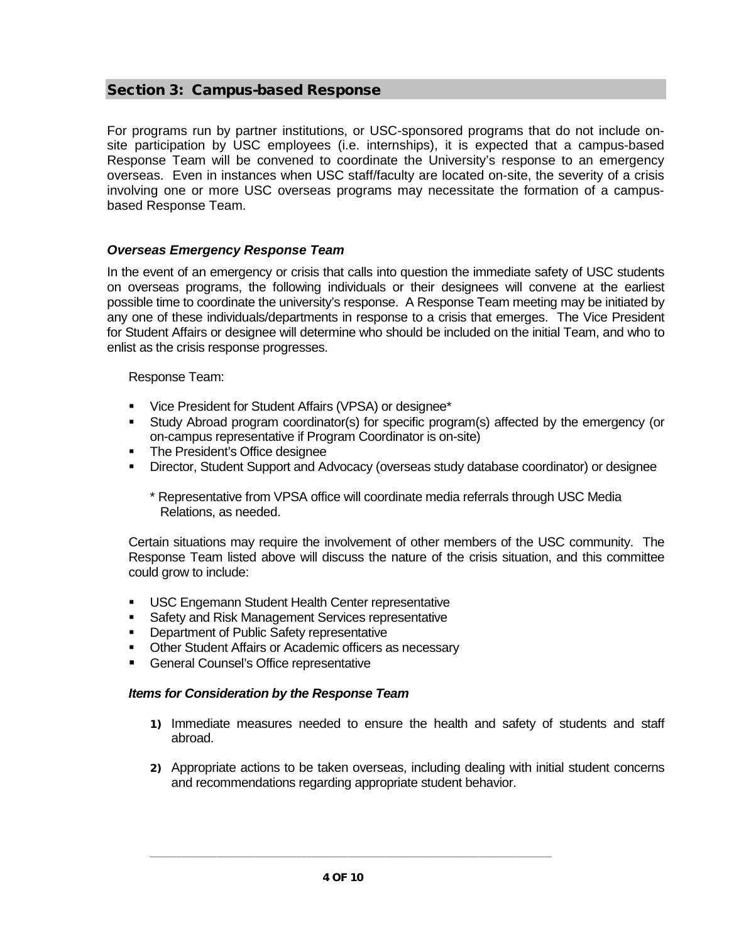# Section 3: Campus-based Response

For programs run by partner institutions, or USC-sponsored programs that do not include onsite participation by USC employees (i.e. internships), it is expected that a campus-based Response Team will be convened to coordinate the University's response to an emergency overseas. Even in instances when USC staff/faculty are located on-site, the severity of a crisis involving one or more USC overseas programs may necessitate the formation of a campusbased Response Team.

# *Overseas Emergency Response Team*

In the event of an emergency or crisis that calls into question the immediate safety of USC students on overseas programs, the following individuals or their designees will convene at the earliest possible time to coordinate the university's response. A Response Team meeting may be initiated by any one of these individuals/departments in response to a crisis that emerges. The Vice President for Student Affairs or designee will determine who should be included on the initial Team, and who to enlist as the crisis response progresses.

Response Team:

- Vice President for Student Affairs (VPSA) or designee\*
- Study Abroad program coordinator(s) for specific program(s) affected by the emergency (or on-campus representative if Program Coordinator is on-site)
- **The President's Office designee**
- Director, Student Support and Advocacy (overseas study database coordinator) or designee
	- \* Representative from VPSA office will coordinate media referrals through USC Media Relations, as needed.

Certain situations may require the involvement of other members of the USC community. The Response Team listed above will discuss the nature of the crisis situation, and this committee could grow to include:

- **USC Engemann Student Health Center representative**
- **Safety and Risk Management Services representative**
- **Department of Public Safety representative**
- **Other Student Affairs or Academic officers as necessary**
- General Counsel's Office representative

# *Items for Consideration by the Response Team*

- 1) Immediate measures needed to ensure the health and safety of students and staff abroad.
- 2) Appropriate actions to be taken overseas, including dealing with initial student concerns and recommendations regarding appropriate student behavior.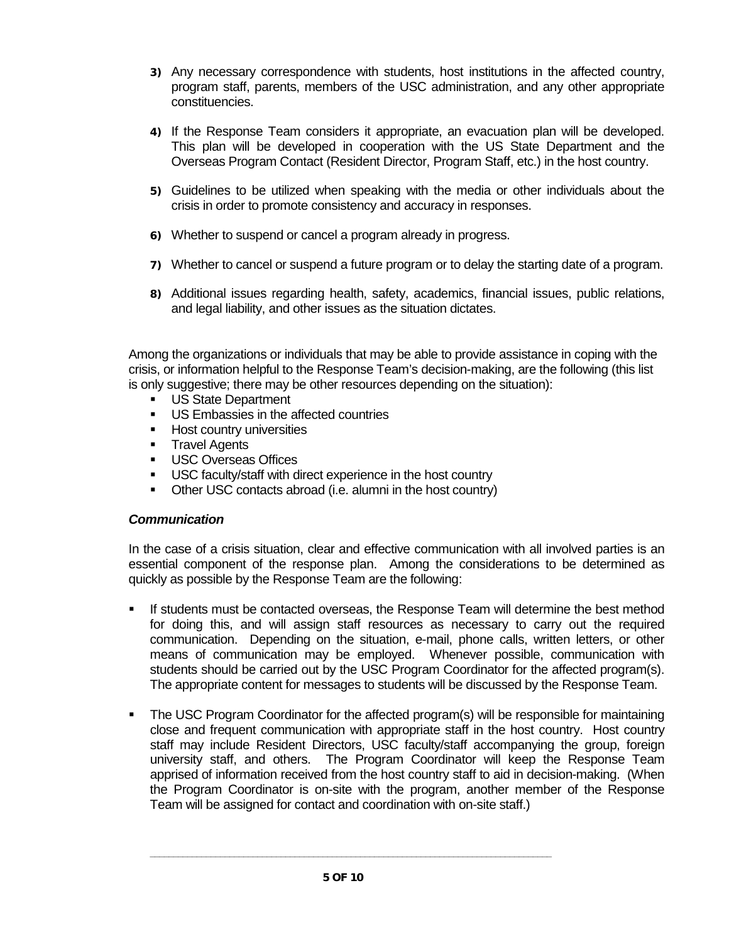- 3) Any necessary correspondence with students, host institutions in the affected country, program staff, parents, members of the USC administration, and any other appropriate constituencies.
- 4) If the Response Team considers it appropriate, an evacuation plan will be developed. This plan will be developed in cooperation with the US State Department and the Overseas Program Contact (Resident Director, Program Staff, etc.) in the host country.
- 5) Guidelines to be utilized when speaking with the media or other individuals about the crisis in order to promote consistency and accuracy in responses.
- 6) Whether to suspend or cancel a program already in progress.
- 7) Whether to cancel or suspend a future program or to delay the starting date of a program.
- 8) Additional issues regarding health, safety, academics, financial issues, public relations, and legal liability, and other issues as the situation dictates.

Among the organizations or individuals that may be able to provide assistance in coping with the crisis, or information helpful to the Response Team's decision-making, are the following (this list is only suggestive; there may be other resources depending on the situation):

- US State Department
- **US Embassies in the affected countries**
- Host country universities<br>• Travel Agents
- Travel Agents<br>LISC Overseas
- USC Overseas Offices
- USC faculty/staff with direct experience in the host country
- Other USC contacts abroad (i.e. alumni in the host country)

# *Communication*

In the case of a crisis situation, clear and effective communication with all involved parties is an essential component of the response plan. Among the considerations to be determined as quickly as possible by the Response Team are the following:

- If students must be contacted overseas, the Response Team will determine the best method for doing this, and will assign staff resources as necessary to carry out the required communication. Depending on the situation, e-mail, phone calls, written letters, or other means of communication may be employed. Whenever possible, communication with students should be carried out by the USC Program Coordinator for the affected program(s). The appropriate content for messages to students will be discussed by the Response Team.
- The USC Program Coordinator for the affected program(s) will be responsible for maintaining close and frequent communication with appropriate staff in the host country. Host country staff may include Resident Directors, USC faculty/staff accompanying the group, foreign university staff, and others. The Program Coordinator will keep the Response Team apprised of information received from the host country staff to aid in decision-making. (When the Program Coordinator is on-site with the program, another member of the Response Team will be assigned for contact and coordination with on-site staff.)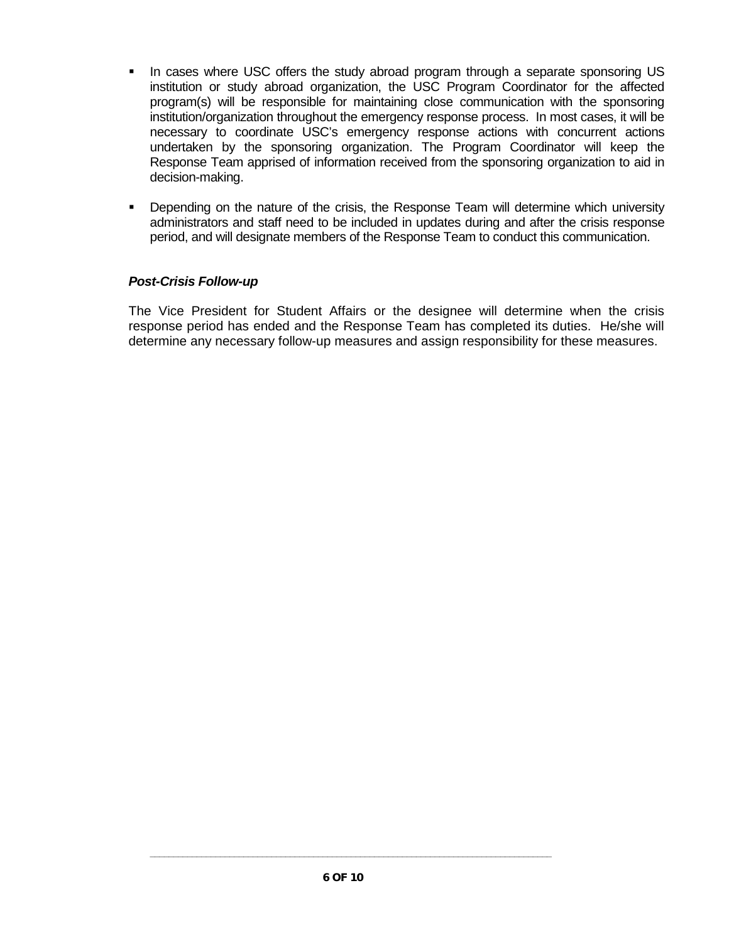- In cases where USC offers the study abroad program through a separate sponsoring US institution or study abroad organization, the USC Program Coordinator for the affected program(s) will be responsible for maintaining close communication with the sponsoring institution/organization throughout the emergency response process. In most cases, it will be necessary to coordinate USC's emergency response actions with concurrent actions undertaken by the sponsoring organization. The Program Coordinator will keep the Response Team apprised of information received from the sponsoring organization to aid in decision-making.
- Depending on the nature of the crisis, the Response Team will determine which university administrators and staff need to be included in updates during and after the crisis response period, and will designate members of the Response Team to conduct this communication.

# *Post-Crisis Follow-up*

The Vice President for Student Affairs or the designee will determine when the crisis response period has ended and the Response Team has completed its duties. He/she will determine any necessary follow-up measures and assign responsibility for these measures.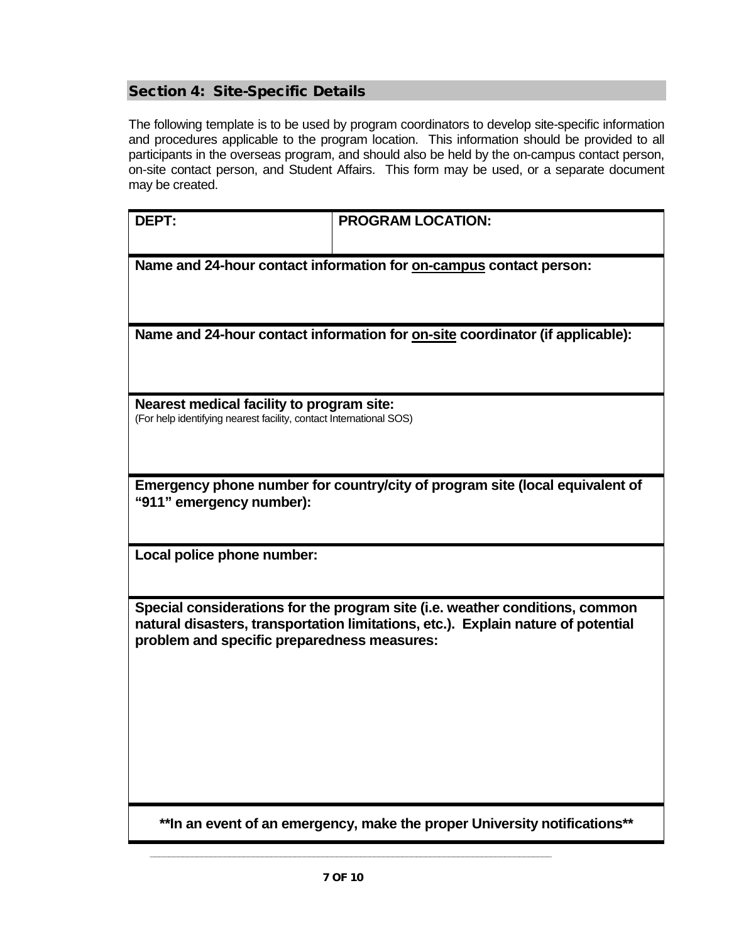# Section 4: Site-Specific Details

The following template is to be used by program coordinators to develop site-specific information and procedures applicable to the program location. This information should be provided to all participants in the overseas program, and should also be held by the on-campus contact person, on-site contact person, and Student Affairs. This form may be used, or a separate document may be created.

| <b>DEPT:</b>                                                                                                                                                      | <b>PROGRAM LOCATION:</b> |  |
|-------------------------------------------------------------------------------------------------------------------------------------------------------------------|--------------------------|--|
|                                                                                                                                                                   |                          |  |
| Name and 24-hour contact information for on-campus contact person:                                                                                                |                          |  |
|                                                                                                                                                                   |                          |  |
| Name and 24-hour contact information for on-site coordinator (if applicable):                                                                                     |                          |  |
|                                                                                                                                                                   |                          |  |
|                                                                                                                                                                   |                          |  |
| Nearest medical facility to program site:                                                                                                                         |                          |  |
| (For help identifying nearest facility, contact International SOS)                                                                                                |                          |  |
|                                                                                                                                                                   |                          |  |
| Emergency phone number for country/city of program site (local equivalent of                                                                                      |                          |  |
| "911" emergency number):                                                                                                                                          |                          |  |
|                                                                                                                                                                   |                          |  |
| Local police phone number:                                                                                                                                        |                          |  |
|                                                                                                                                                                   |                          |  |
| Special considerations for the program site (i.e. weather conditions, common<br>natural disasters, transportation limitations, etc.). Explain nature of potential |                          |  |
| problem and specific preparedness measures:                                                                                                                       |                          |  |
|                                                                                                                                                                   |                          |  |
|                                                                                                                                                                   |                          |  |
|                                                                                                                                                                   |                          |  |
|                                                                                                                                                                   |                          |  |
|                                                                                                                                                                   |                          |  |
|                                                                                                                                                                   |                          |  |

**\*\*In an event of an emergency, make the proper University notifications\*\***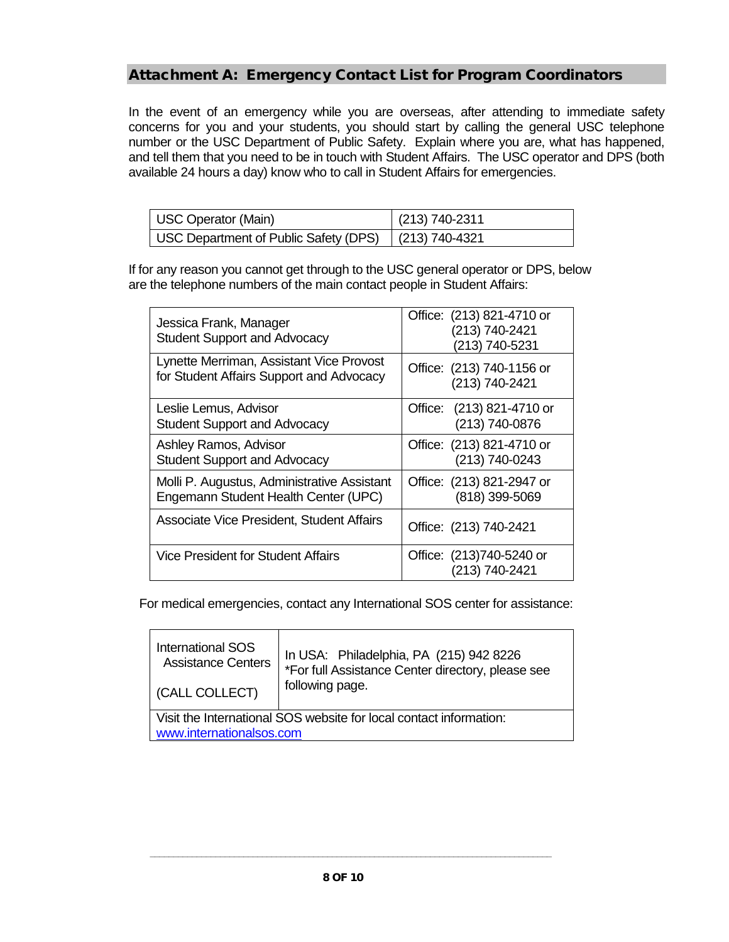# Attachment A: Emergency Contact List for Program Coordinators

In the event of an emergency while you are overseas, after attending to immediate safety concerns for you and your students, you should start by calling the general USC telephone number or the USC Department of Public Safety. Explain where you are, what has happened, and tell them that you need to be in touch with Student Affairs. The USC operator and DPS (both available 24 hours a day) know who to call in Student Affairs for emergencies.

| <b>USC Operator (Main)</b>            | $(213) 740 - 2311$ |
|---------------------------------------|--------------------|
| USC Department of Public Safety (DPS) | $(213) 740 - 4321$ |

If for any reason you cannot get through to the USC general operator or DPS, below are the telephone numbers of the main contact people in Student Affairs:

| Jessica Frank, Manager<br><b>Student Support and Advocacy</b>                        | Office: (213) 821-4710 or<br>(213) 740-2421<br>(213) 740-5231 |
|--------------------------------------------------------------------------------------|---------------------------------------------------------------|
| Lynette Merriman, Assistant Vice Provost<br>for Student Affairs Support and Advocacy | Office: (213) 740-1156 or<br>(213) 740-2421                   |
| Leslie Lemus, Advisor<br><b>Student Support and Advocacy</b>                         | $(213)$ 821-4710 or<br>Office:<br>(213) 740-0876              |
| Ashley Ramos, Advisor<br><b>Student Support and Advocacy</b>                         | Office: (213) 821-4710 or<br>(213) 740-0243                   |
| Molli P. Augustus, Administrative Assistant<br>Engemann Student Health Center (UPC)  | Office: (213) 821-2947 or<br>(818) 399-5069                   |
| Associate Vice President, Student Affairs                                            | Office: (213) 740-2421                                        |
| <b>Vice President for Student Affairs</b>                                            | Office: (213)740-5240 or<br>(213) 740-2421                    |

For medical emergencies, contact any International SOS center for assistance:

| <b>International SOS</b>                                                                       | In USA: Philadelphia, PA (215) 942 8226           |  |
|------------------------------------------------------------------------------------------------|---------------------------------------------------|--|
| <b>Assistance Centers</b>                                                                      | *For full Assistance Center directory, please see |  |
| <b>(CALL COLLECT)</b>                                                                          | following page.                                   |  |
| Visit the International SOS website for local contact information:<br>www.internationalsos.com |                                                   |  |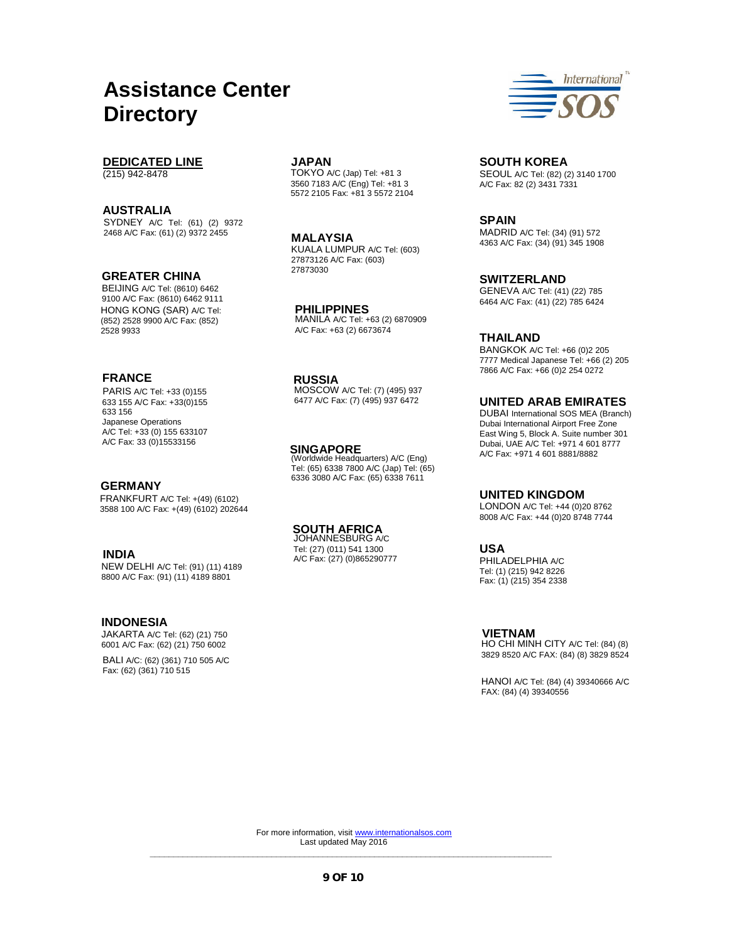# **Assistance Center Directory**

# **DEDICATED LINE**

(215) 942-8478

#### **AUSTRALIA**

SYDNEY A/C Tel: (61) (2) 9372 2468 A/C Fax: (61) (2) 9372 2455

#### **GREATER CHINA**

BEIJING A/C Tel: (8610) 6462 9100 A/C Fax: (8610) 6462 9111 HONG KONG (SAR) A/C Tel: (852) 2528 9900 A/C Fax: (852) 2528 9933

#### **FRANCE**

PARIS A/C Tel: +33 (0)155 633 155 A/C Fax: +33(0)155 633 156 Japanese Operations A/C Tel: +33 (0) 155 633107 A/C Fax: 33 (0)15533156

# **GERMANY**

FRANKFURT A/C Tel: +(49) (6102) 3588 100 A/C Fax: +(49) (6102) 202644

## **INDIA**

NEW DELHI A/C Tel: (91) (11) 4189 8800 A/C Fax: (91) (11) 4189 8801

#### **INDONESIA**

JAKARTA A/C Tel: (62) (21) 750 6001 A/C Fax: (62) (21) 750 6002

BALI A/C: (62) (361) 710 505 A/C Fax: (62) (361) 710 515

TOKYO A/C (Jap) Tel: +81 3 3560 7183 A/C (Eng) Tel: +81 3 5572 2105 Fax: +81 3 5572 2104

KUALA LUMPUR A/C Tel: (603) 27873126 A/C Fax: (603) 27873030 **MALAYSIA** 

**PHILIPPINES**  MANILA A/C Tel: +63 (2) 6870909 A/C Fax: +63 (2) 6673674

#### **RUSSIA**

MOSCOW A/C Tel: (7) (495) 937 6477 A/C Fax: (7) (495) 937 6472

#### **SINGAPORE**

(Worldwide Headquarters) A/C (Eng) Tel: (65) 6338 7800 A/C (Jap) Tel: (65) 6336 3080 A/C Fax: (65) 6338 7611

# **SOUTH AFRICA**  JOHANNESBURG A/C

Tel: (27) (011) 541 1300 A/C Fax: (27) (0)865290777



**JAPAN SOUTH KOREA**  SEOUL A/C Tel: (82) (2) 3140 1700 A/C Fax: 82 (2) 3431 7331

> **SPAIN**  MADRID A/C Tel: (34) (91) 572 4363 A/C Fax: (34) (91) 345 1908

> **SWITZERLAND**  GENEVA A/C Tel: (41) (22) 785 6464 A/C Fax: (41) (22) 785 6424

#### **THAILAND**

BANGKOK A/C Tel: +66 (0)2 205 7777 Medical Japanese Tel: +66 (2) 205 7866 A/C Fax: +66 (0)2 254 0272

**UNITED ARAB EMIRATES**  DUBAI International SOS MEA (Branch) Dubai International Airport Free Zone East Wing 5, Block A. Suite number 301 Dubai, UAE A/C Tel: +971 4 601 8777 A/C Fax: +971 4 601 8881/8882

#### **UNITED KINGDOM**

LONDON A/C Tel: +44 (0)20 8762 8008 A/C Fax: +44 (0)20 8748 7744

#### **USA**

PHILADELPHIA A/C Tel: (1) (215) 942 8226 Fax: (1) (215) 354 2338

#### **VIETNAM**

HO CHI MINH CITY A/C Tel: (84) (8) 3829 8520 A/C FAX: (84) (8) 3829 8524

HANOI A/C Tel: (84) (4) 39340666 A/C FAX: (84) (4) 39340556

**\_\_\_\_\_\_\_\_\_\_\_\_\_\_\_\_\_\_\_\_\_\_\_\_\_\_\_\_\_\_\_\_\_\_\_\_\_\_\_\_\_\_\_\_\_\_\_\_\_\_\_\_\_\_\_\_\_\_\_\_\_\_\_\_\_\_\_\_\_\_\_\_\_\_\_\_\_\_\_\_\_\_\_\_\_\_**  For more information, visi[t www.internationalsos.com](http://www.internationalsos.com/) Last updated May 2016